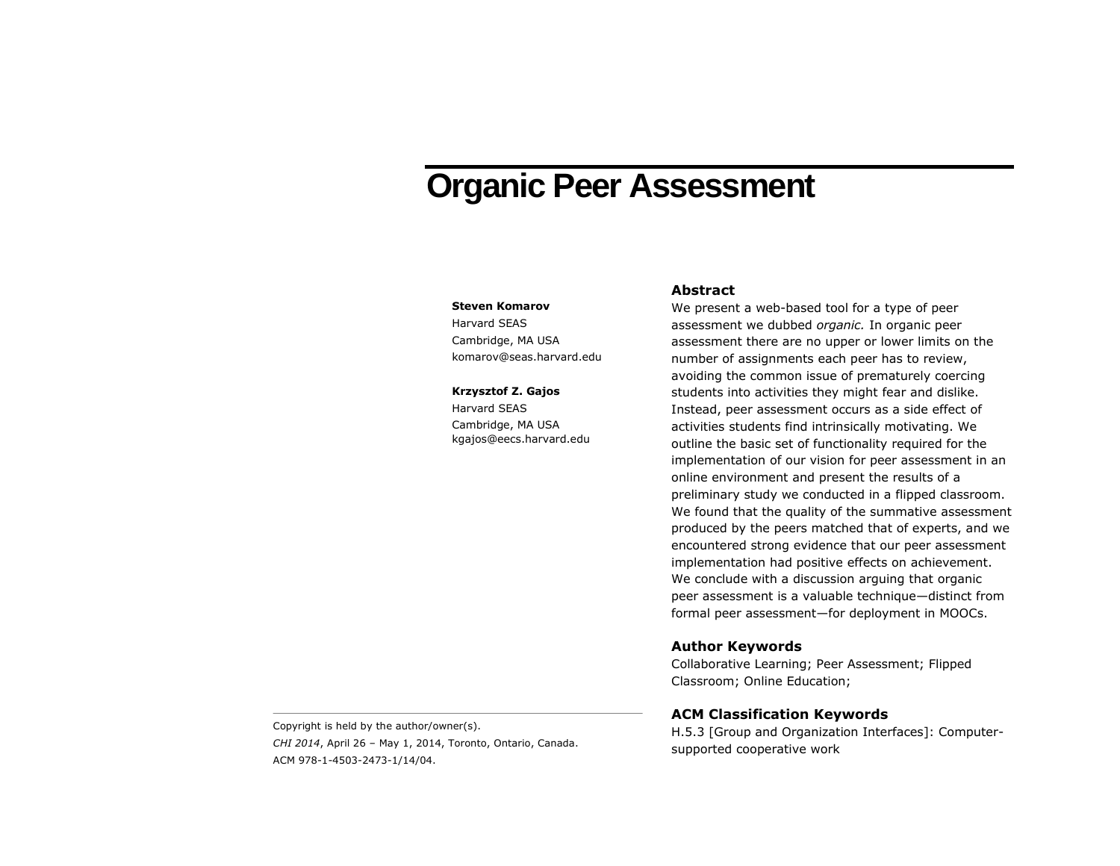# **Organic Peer Assessment**

#### **Steven Komarov**

Harvard SEAS Cambridge, MA USA komarov@seas.harvard.edu

#### **Krzysztof Z. Gajos**

Harvard SEAS Cambridge, MA USA kgajos@eecs.harvard.edu

## **Abstract**

We present a web-based tool for a type of peer assessment we dubbed *organic.* In organic peer assessment there are no upper or lower limits on the number of assignments each peer has to review, avoiding the common issue of prematurely coercing students into activities they might fear and dislike. Instead, peer assessment occurs as a side effect of activities students find intrinsically motivating. We outline the basic set of functionality required for the implementation of our vision for peer assessment in an online environment and present the results of a preliminary study we conducted in a flipped classroom. We found that the quality of the summative assessment produced by the peers matched that of experts, and we encountered strong evidence that our peer assessment implementation had positive effects on achievement. We conclude with a discussion arguing that organic peer assessment is a valuable technique—distinct from formal peer assessment—for deployment in MOOCs.

# **Author Keywords**

Collaborative Learning; Peer Assessment; Flipped Classroom; Online Education;

# **ACM Classification Keywords**

H.5.3 [Group and Organization Interfaces]: Computersupported cooperative work

Copyright is held by the author/owner(s). *CHI 2014*, April 26 – May 1, 2014, Toronto, Ontario, Canada. ACM 978-1-4503-2473-1/14/04.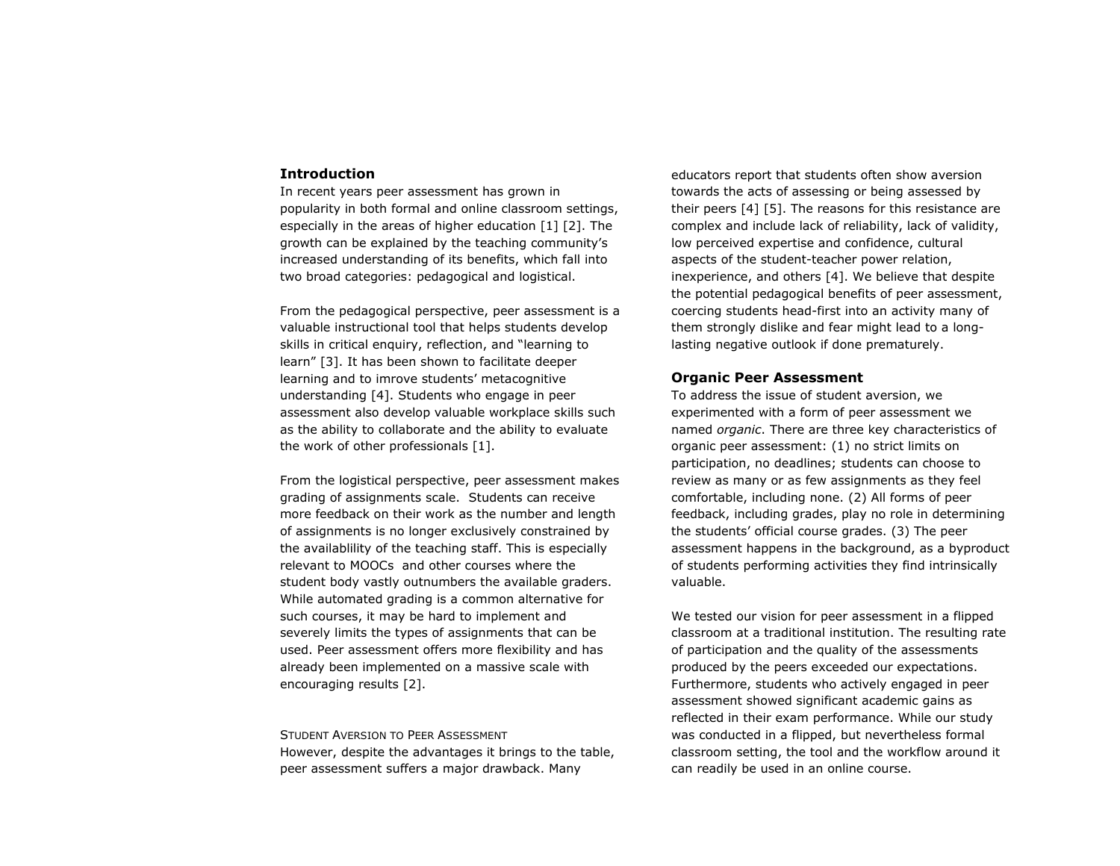## **Introduction**

In recent years peer assessment has grown in popularity in both formal and online classroom settings, especially in the areas of higher education [1] [2]. The growth can be explained by the teaching community's increased understanding of its benefits, which fall into two broad categories: pedagogical and logistical.

From the pedagogical perspective, peer assessment is a valuable instructional tool that helps students develop skills in critical enquiry, reflection, and "learning to learn" [3]. It has been shown to facilitate deeper learning and to imrove students' metacognitive understanding [4]. Students who engage in peer assessment also develop valuable workplace skills such as the ability to collaborate and the ability to evaluate the work of other professionals [1].

From the logistical perspective, peer assessment makes grading of assignments scale. Students can receive more feedback on their work as the number and length of assignments is no longer exclusively constrained by the availablility of the teaching staff. This is especially relevant to MOOCs and other courses where the student body vastly outnumbers the available graders. While automated grading is a common alternative for such courses, it may be hard to implement and severely limits the types of assignments that can be used. Peer assessment offers more flexibility and has already been implemented on a massive scale with encouraging results [2].

STUDENT AVERSION TO PEER ASSESSMENT However, despite the advantages it brings to the table, peer assessment suffers a major drawback. Many

educators report that students often show aversion towards the acts of assessing or being assessed by their peers [4] [5]. The reasons for this resistance are complex and include lack of reliability, lack of validity, low perceived expertise and confidence, cultural aspects of the student-teacher power relation, inexperience, and others [4]. We believe that despite the potential pedagogical benefits of peer assessment, coercing students head-first into an activity many of them strongly dislike and fear might lead to a longlasting negative outlook if done prematurely.

## **Organic Peer Assessment**

To address the issue of student aversion, we experimented with a form of peer assessment we named *organic*. There are three key characteristics of organic peer assessment: (1) no strict limits on participation, no deadlines; students can choose to review as many or as few assignments as they feel comfortable, including none. (2) All forms of peer feedback, including grades, play no role in determining the students' official course grades. (3) The peer assessment happens in the background, as a byproduct of students performing activities they find intrinsically valuable.

We tested our vision for peer assessment in a flipped classroom at a traditional institution. The resulting rate of participation and the quality of the assessments produced by the peers exceeded our expectations. Furthermore, students who actively engaged in peer assessment showed significant academic gains as reflected in their exam performance. While our study was conducted in a flipped, but nevertheless formal classroom setting, the tool and the workflow around it can readily be used in an online course.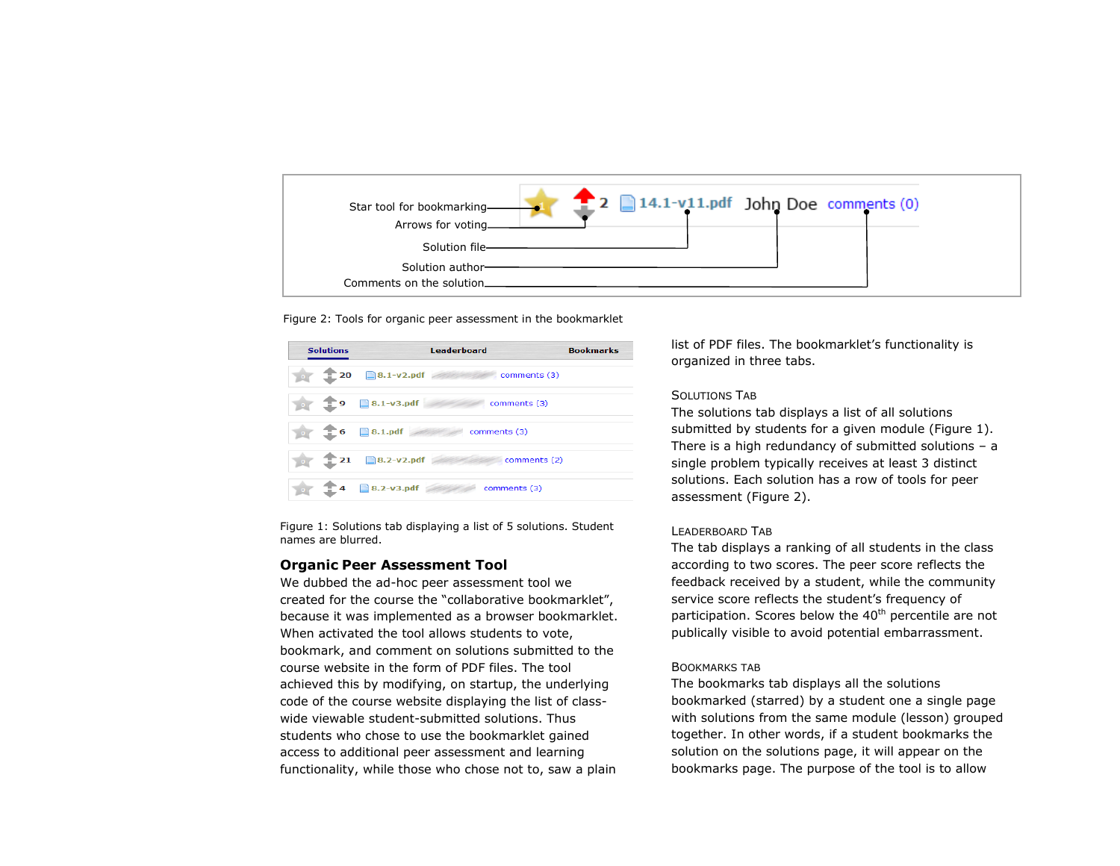

<span id="page-2-1"></span>

| <b>Solutions</b> |                   | Leaderboard                       | <b>Bookmarks</b> |
|------------------|-------------------|-----------------------------------|------------------|
|                  | 20                | $\Box$ 8.1-v2.pdf<br>comments (3) |                  |
|                  | 9                 | $\Box$ 8.1-v3.pdf<br>comments (3) |                  |
|                  | $= 6$             | $\Box$ 8.1.pdf<br>comments (3)    |                  |
|                  | $\mathbf{r}_{21}$ | <b>3.2-v2.pdf</b><br>comments (2) |                  |
|                  |                   | 8.2-v3.pdf<br>comments (3)        |                  |

<span id="page-2-0"></span>Figure 1: Solutions tab displaying a list of 5 solutions. Student names are blurred.

## **Organic Peer Assessment Tool**

We dubbed the ad-hoc peer assessment tool we created for the course the "collaborative bookmarklet", because it was implemented as a browser bookmarklet. When activated the tool allows students to vote, bookmark, and comment on solutions submitted to the course website in the form of PDF files. The tool achieved this by modifying, on startup, the underlying code of the course website displaying the list of classwide viewable student-submitted solutions. Thus students who chose to use the bookmarklet gained access to additional peer assessment and learning functionality, while those who chose not to, saw a plain list of PDF files. The bookmarklet's functionality is organized in three tabs.

# SOLUTIONS TAB

The solutions tab displays a list of all solutions submitted by students for a given module [\(Figure 1\)](#page-2-0). There is a high redundancy of submitted solutions  $-$  a single problem typically receives at least 3 distinct solutions. Each solution has a row of tools for peer assessment [\(Figure 2\)](#page-2-1).

## LEADERBOARD TAB

The tab displays a ranking of all students in the class according to two scores. The peer score reflects the feedback received by a student, while the community service score reflects the student's frequency of participation. Scores below the 40<sup>th</sup> percentile are not publically visible to avoid potential embarrassment.

#### BOOKMARKS TAB

The bookmarks tab displays all the solutions bookmarked (starred) by a student one a single page with solutions from the same module (lesson) grouped together. In other words, if a student bookmarks the solution on the solutions page, it will appear on the bookmarks page. The purpose of the tool is to allow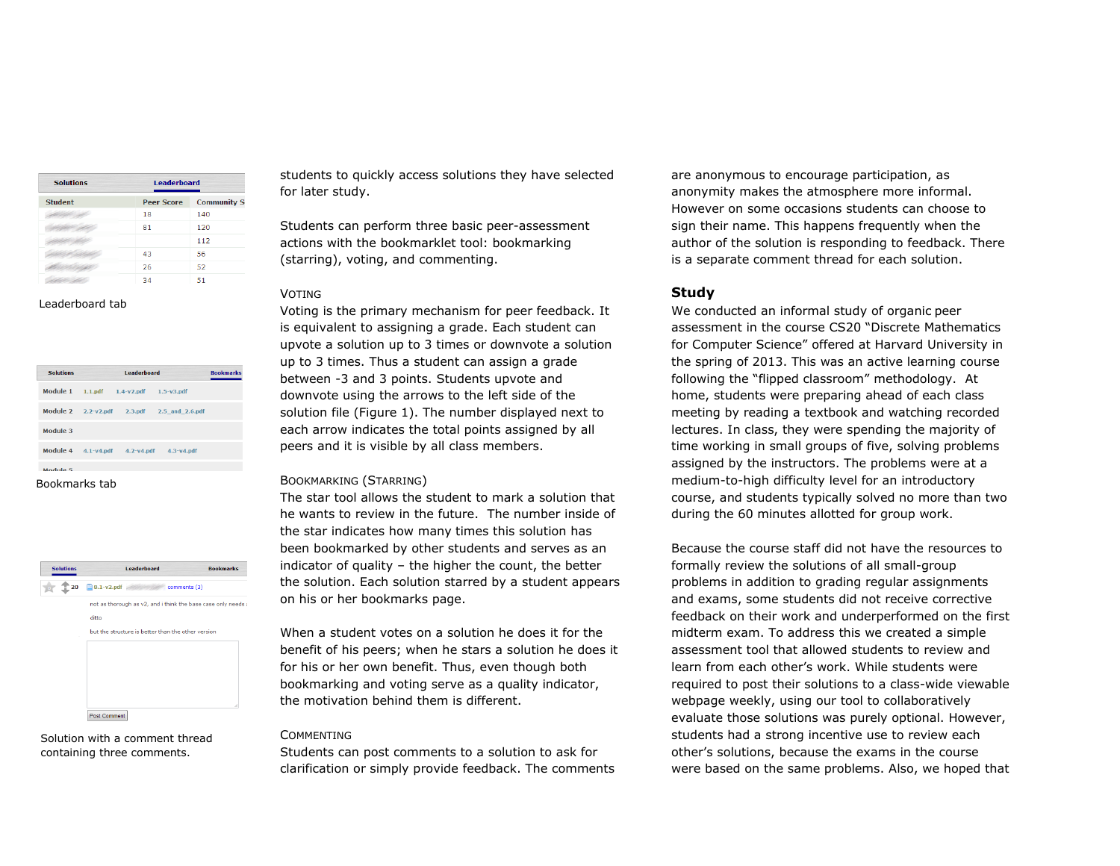| <b>Solutions</b> | <b>Leaderboard</b> |                    |  |
|------------------|--------------------|--------------------|--|
| <b>Student</b>   | <b>Peer Score</b>  | <b>Community S</b> |  |
|                  | 18                 | 140                |  |
|                  | 81                 | 120                |  |
|                  |                    | 112                |  |
|                  | 43                 | 56                 |  |
|                  | 26                 | 52                 |  |
|                  | 34                 | 51                 |  |

#### Leaderboard tab

| <b>Solutions</b>        | <b>Leaderboard</b> |                        |                 | <b>Bookmarks</b> |
|-------------------------|--------------------|------------------------|-----------------|------------------|
| Module 1                |                    | $1.1.pdf$ $1.4-v2.pdf$ | $1.5-y3.pdf$    |                  |
| Module 2 2.2-v2.pdf     |                    | 2.3.pdf                | 2.5 and 2.6.pdf |                  |
| Module 3                |                    |                        |                 |                  |
| Module $4$ $4.1-y4.pdf$ |                    | $4.2 - v4$ .pdf        | $4.3-y4.pdf$    |                  |
| Module <sub>5</sub>     |                    |                        |                 |                  |
| Bookmarks tab           |                    |                        |                 |                  |



Solution with a comment thread containing three comments.

students to quickly access solutions they have selected for later study.

Students can perform three basic peer-assessment actions with the bookmarklet tool: bookmarking (starring), voting, and commenting.

#### VOTING

Voting is the primary mechanism for peer feedback. It is equivalent to assigning a grade. Each student can upvote a solution up to 3 times or downvote a solution up to 3 times. Thus a student can assign a grade between -3 and 3 points. Students upvote and downvote using the arrows to the left side of the solution file [\(Figure 1\)](#page-2-0). The number displayed next to each arrow indicates the total points assigned by all peers and it is visible by all class members.

#### BOOKMARKING (STARRING)

The star tool allows the student to mark a solution that he wants to review in the future. The number inside of the star indicates how many times this solution has been bookmarked by other students and serves as an indicator of quality – the higher the count, the better the solution. Each solution starred by a student appears on his or her bookmarks page.

When a student votes on a solution he does it for the benefit of his peers; when he stars a solution he does it for his or her own benefit. Thus, even though both bookmarking and voting serve as a quality indicator, the motivation behind them is different.

#### **COMMENTING**

Students can post comments to a solution to ask for clarification or simply provide feedback. The comments are anonymous to encourage participation, as anonymity makes the atmosphere more informal. However on some occasions students can choose to sign their name. This happens frequently when the author of the solution is responding to feedback. There is a separate comment thread for each solution.

#### **Study**

We conducted an informal study of organic peer assessment in the course CS20 "Discrete Mathematics for Computer Science" offered at Harvard University in the spring of 2013. This was an active learning course following the "flipped classroom" methodology. At home, students were preparing ahead of each class meeting by reading a textbook and watching recorded lectures. In class, they were spending the majority of time working in small groups of five, solving problems assigned by the instructors. The problems were at a medium-to-high difficulty level for an introductory course, and students typically solved no more than two during the 60 minutes allotted for group work.

Because the course staff did not have the resources to formally review the solutions of all small-group problems in addition to grading regular assignments and exams, some students did not receive corrective feedback on their work and underperformed on the first midterm exam. To address this we created a simple assessment tool that allowed students to review and learn from each other's work. While students were required to post their solutions to a class-wide viewable webpage weekly, using our tool to collaboratively evaluate those solutions was purely optional. However, students had a strong incentive use to review each other's solutions, because the exams in the course were based on the same problems. Also, we hoped that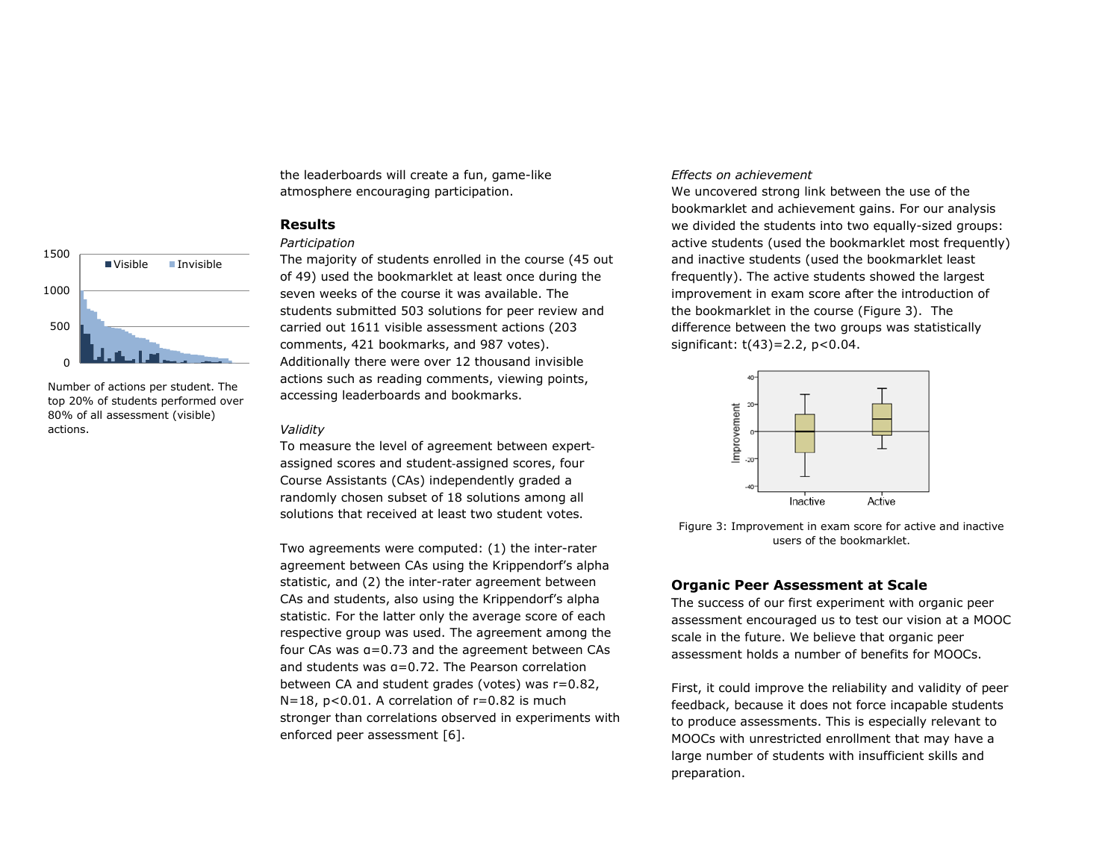

Number of actions per student. The top 20% of students performed over 80% of all assessment (visible) actions.

the leaderboards will create a fun, game-like atmosphere encouraging participation.

# **Results**

# *Participation*

The majority of students enrolled in the course (45 out of 49) used the bookmarklet at least once during the seven weeks of the course it was available. The students submitted 503 solutions for peer review and carried out 1611 visible assessment actions (203 comments, 421 bookmarks, and 987 votes). Additionally there were over 12 thousand invisible actions such as reading comments, viewing points, accessing leaderboards and bookmarks.

#### *Validity*

To measure the level of agreement between expertassigned scores and student-assigned scores, four Course Assistants (CAs) independently graded a randomly chosen subset of 18 solutions among all solutions that received at least two student votes.

Two agreements were computed: (1) the inter-rater agreement between CAs using the Krippendorf's alpha statistic, and (2) the inter-rater agreement between CAs and students, also using the Krippendorf's alpha statistic. For the latter only the average score of each respective group was used. The agreement among the four CAs was α=0.73 and the agreement between CAs and students was α=0.72. The Pearson correlation between CA and student grades (votes) was r=0.82,  $N=18$ ,  $p<0.01$ . A correlation of  $r=0.82$  is much stronger than correlations observed in experiments with enforced peer assessment [6].

## *Effects on achievement*

We uncovered strong link between the use of the bookmarklet and achievement gains. For our analysis we divided the students into two equally-sized groups: active students (used the bookmarklet most frequently) and inactive students (used the bookmarklet least frequently). The active students showed the largest improvement in exam score after the introduction of the bookmarklet in the course [\(Figure 3\)](#page-4-0). The difference between the two groups was statistically significant: t(43)=2.2, p<0.04.



<span id="page-4-0"></span>Figure 3: Improvement in exam score for active and inactive users of the bookmarklet.

# **Organic Peer Assessment at Scale**

The success of our first experiment with organic peer assessment encouraged us to test our vision at a MOOC scale in the future. We believe that organic peer assessment holds a number of benefits for MOOCs.

First, it could improve the reliability and validity of peer feedback, because it does not force incapable students to produce assessments. This is especially relevant to MOOCs with unrestricted enrollment that may have a large number of students with insufficient skills and preparation.